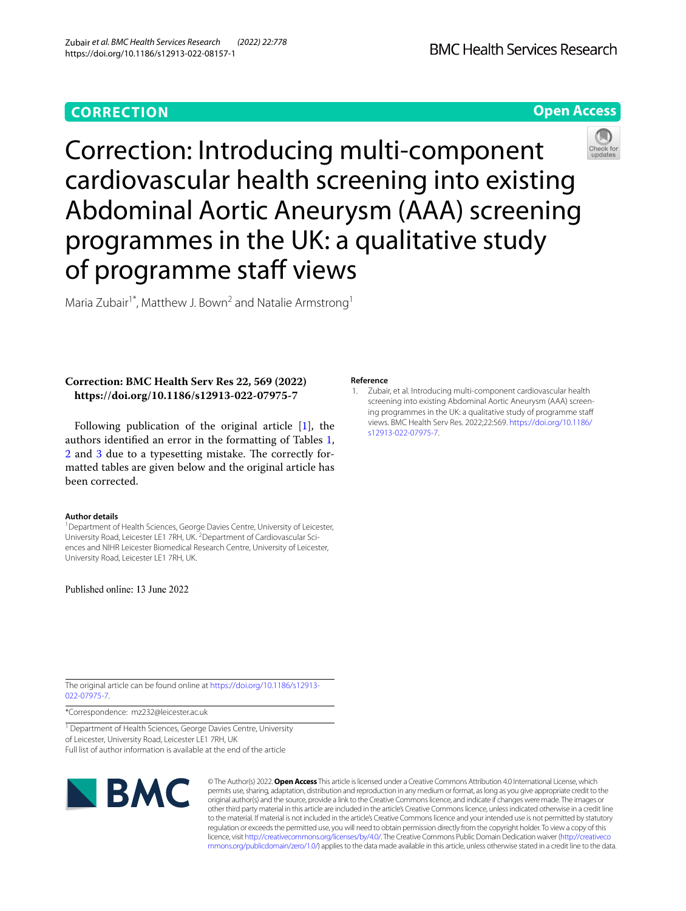# **CORRECTION**

## **Open Access**



Correction: Introducing multi-component cardiovascular health screening into existing Abdominal Aortic Aneurysm (AAA) screening programmes in the UK: a qualitative study of programme staff views

Maria Zubair<sup>1\*</sup>, Matthew J. Bown<sup>2</sup> and Natalie Armstrong<sup>1</sup>

### **Correction: BMC Health Serv Res 22, 569 (2022) https://doi.org/10.1186/s12913-022-07975-7**

Following publication of the original article [\[1](#page-0-0)], the authors identifed an error in the formatting of Tables [1](#page-1-0), [2](#page-2-0) and [3](#page-3-0) due to a typesetting mistake. The correctly formatted tables are given below and the original article has been corrected.

#### **Author details**

<sup>1</sup> Department of Health Sciences, George Davies Centre, University of Leicester, University Road, Leicester LE1 7RH, UK. <sup>2</sup> Department of Cardiovascular Sciences and NIHR Leicester Biomedical Research Centre, University of Leicester, University Road, Leicester LE1 7RH, UK.

Published online: 13 June 2022

#### **Reference**

<span id="page-0-0"></span>1. Zubair, et al. Introducing multi-component cardiovascular health screening into existing Abdominal Aortic Aneurysm (AAA) screening programmes in the UK: a qualitative study of programme staf views. BMC Health Serv Res. 2022;22:569. [https://doi.org/10.1186/](https://doi.org/10.1186/s12913-022-07975-7) [s12913-022-07975-7](https://doi.org/10.1186/s12913-022-07975-7).

The original article can be found online at [https://doi.org/10.1186/s12913-](https://doi.org/10.1186/s12913-022-07975-7) [022-07975-7](https://doi.org/10.1186/s12913-022-07975-7).

\*Correspondence: mz232@leicester.ac.uk

<sup>1</sup> Department of Health Sciences, George Davies Centre, University of Leicester, University Road, Leicester LE1 7RH, UK Full list of author information is available at the end of the article



© The Author(s) 2022. **Open Access** This article is licensed under a Creative Commons Attribution 4.0 International License, which permits use, sharing, adaptation, distribution and reproduction in any medium or format, as long as you give appropriate credit to the original author(s) and the source, provide a link to the Creative Commons licence, and indicate if changes were made. The images or other third party material in this article are included in the article's Creative Commons licence, unless indicated otherwise in a credit line to the material. If material is not included in the article's Creative Commons licence and your intended use is not permitted by statutory regulation or exceeds the permitted use, you will need to obtain permission directly from the copyright holder. To view a copy of this licence, visit [http://creativecommons.org/licenses/by/4.0/.](http://creativecommons.org/licenses/by/4.0/) The Creative Commons Public Domain Dedication waiver ([http://creativeco](http://creativecommons.org/publicdomain/zero/1.0/) [mmons.org/publicdomain/zero/1.0/](http://creativecommons.org/publicdomain/zero/1.0/)) applies to the data made available in this article, unless otherwise stated in a credit line to the data.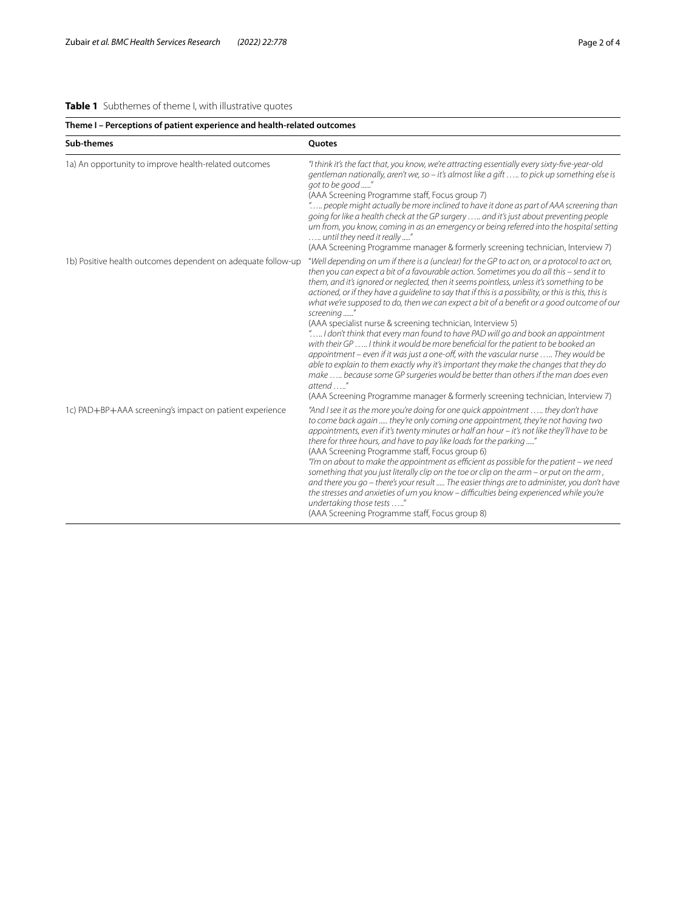### <span id="page-1-0"></span>**Table 1** Subthemes of theme I, with illustrative quotes

| Theme I - Perceptions of patient experience and health-related outcomes |                                                                                                                                                                                                                                                                                                                                                                                                                                                                                                                                                                                                                                                                                                                                                                                                                                                                                                                                                                                                                                                                                                                     |
|-------------------------------------------------------------------------|---------------------------------------------------------------------------------------------------------------------------------------------------------------------------------------------------------------------------------------------------------------------------------------------------------------------------------------------------------------------------------------------------------------------------------------------------------------------------------------------------------------------------------------------------------------------------------------------------------------------------------------------------------------------------------------------------------------------------------------------------------------------------------------------------------------------------------------------------------------------------------------------------------------------------------------------------------------------------------------------------------------------------------------------------------------------------------------------------------------------|
| Sub-themes                                                              | Quotes                                                                                                                                                                                                                                                                                                                                                                                                                                                                                                                                                                                                                                                                                                                                                                                                                                                                                                                                                                                                                                                                                                              |
| 1a) An opportunity to improve health-related outcomes                   | "I think it's the fact that, you know, we're attracting essentially every sixty-five-year-old<br>gentleman nationally, aren't we, so - it's almost like a gift  to pick up something else is<br>got to be good "<br>(AAA Screening Programme staff, Focus group 7)<br>" people might actually be more inclined to have it done as part of AAA screening than<br>going for like a health check at the GP surgery   and it's just about preventing people<br>um from, you know, coming in as an emergency or being referred into the hospital setting<br>until they need it really "<br>(AAA Screening Programme manager & formerly screening technician, Interview 7)                                                                                                                                                                                                                                                                                                                                                                                                                                                |
| 1b) Positive health outcomes dependent on adequate follow-up            | "Well depending on um if there is a (unclear) for the GP to act on, or a protocol to act on,<br>then you can expect a bit of a favourable action. Sometimes you do all this – send it to<br>them, and it's ignored or neglected, then it seems pointless, unless it's something to be<br>actioned, or if they have a guideline to say that if this is a possibility, or this is this, this is<br>what we're supposed to do, then we can expect a bit of a benefit or a good outcome of our<br>screening<br>(AAA specialist nurse & screening technician, Interview 5)<br>" I don't think that every man found to have PAD will go and book an appointment<br>with their GP  I think it would be more beneficial for the patient to be booked an<br>appointment – even if it was just a one-off, with the vascular nurse  They would be<br>able to explain to them exactly why it's important they make the changes that they do<br>make  because some GP surgeries would be better than others if the man does even<br>$attend$ "<br>(AAA Screening Programme manager & formerly screening technician, Interview 7) |
| 1c) PAD+BP+AAA screening's impact on patient experience                 | "And I see it as the more you're doing for one quick appointment  they don't have<br>to come back again  they're only coming one appointment, they're not having two<br>appointments, even if it's twenty minutes or half an hour - it's not like they'll have to be<br>there for three hours, and have to pay like loads for the parking "<br>(AAA Screening Programme staff, Focus group 6)<br>"I'm on about to make the appointment as efficient as possible for the patient – we need<br>something that you just literally clip on the toe or clip on the arm - or put on the arm,<br>and there you go - there's your result  The easier things are to administer, you don't have<br>the stresses and anxieties of um you know - difficulties being experienced while you're<br>undertaking those tests "<br>(AAA Screening Programme staff, Focus group 8)                                                                                                                                                                                                                                                     |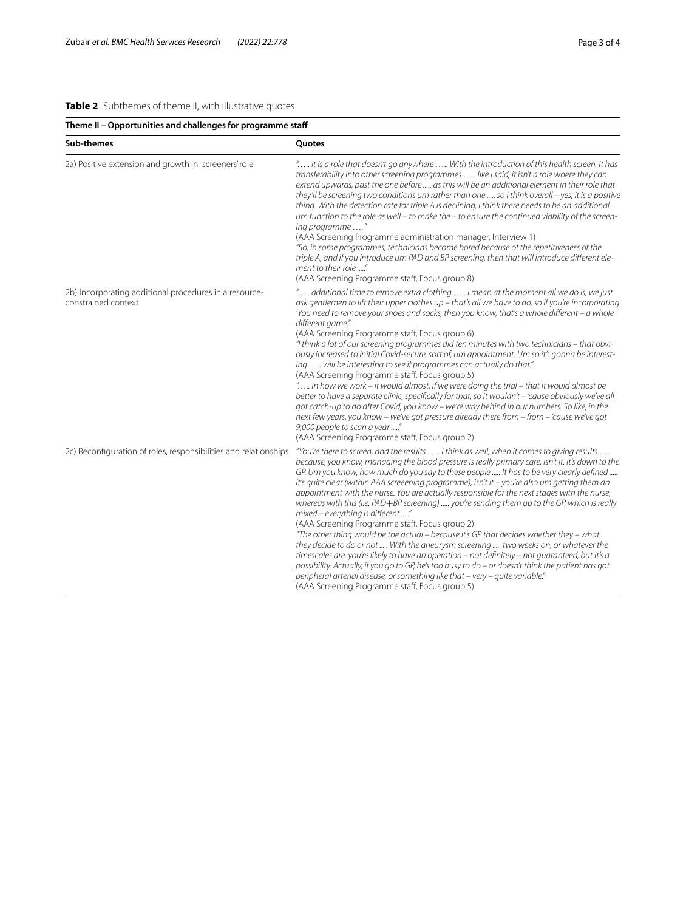### <span id="page-2-0"></span>**Table 2** Subthemes of theme II, with illustrative quotes

| Theme II - Opportunities and challenges for programme staff                   |                                                                                                                                                                                                                                                                                                                                                                                                                                                                                                                                                                                                                                                                                                                                                                                                                                                                                                                                                                                                                                                                                                                                                                                                                    |  |
|-------------------------------------------------------------------------------|--------------------------------------------------------------------------------------------------------------------------------------------------------------------------------------------------------------------------------------------------------------------------------------------------------------------------------------------------------------------------------------------------------------------------------------------------------------------------------------------------------------------------------------------------------------------------------------------------------------------------------------------------------------------------------------------------------------------------------------------------------------------------------------------------------------------------------------------------------------------------------------------------------------------------------------------------------------------------------------------------------------------------------------------------------------------------------------------------------------------------------------------------------------------------------------------------------------------|--|
| Sub-themes                                                                    | Quotes                                                                                                                                                                                                                                                                                                                                                                                                                                                                                                                                                                                                                                                                                                                                                                                                                                                                                                                                                                                                                                                                                                                                                                                                             |  |
| 2a) Positive extension and growth in screeners' role                          | " it is a role that doesn't go anywhere  With the introduction of this health screen, it has<br>transferability into other screening programmes  like I said, it isn't a role where they can<br>extend upwards, past the one before  as this will be an additional element in their role that<br>they'll be screening two conditions um rather than one  so I think overall - yes, it is a positive<br>thing. With the detection rate for triple A is declining, I think there needs to be an additional<br>um function to the role as well - to make the - to ensure the continued viability of the screen-<br>ing programme "<br>(AAA Screening Programme administration manager, Interview 1)<br>"So, in some programmes, technicians become bored because of the repetitiveness of the<br>triple A, and if you introduce um PAD and BP screening, then that will introduce different ele-<br>ment to their role "<br>(AAA Screening Programme staff, Focus group 8)                                                                                                                                                                                                                                            |  |
| 2b) Incorporating additional procedures in a resource-<br>constrained context | " additional time to remove extra clothing  I mean at the moment all we do is, we just<br>ask gentlemen to lift their upper clothes up - that's all we have to do, so if you're incorporating<br>'You need to remove your shoes and socks, then you know, that's a whole different $-a$ whole<br>different game."<br>(AAA Screening Programme staff, Focus group 6)<br>"I think a lot of our screening programmes did ten minutes with two technicians - that obvi-<br>ously increased to initial Covid-secure, sort of, um appointment. Um so it's gonna be interest-<br>ing  will be interesting to see if programmes can actually do that."<br>(AAA Screening Programme staff, Focus group 5)<br>" in how we work – it would almost, if we were doing the trial – that it would almost be<br>better to have a separate clinic, specifically for that, so it wouldn't - 'cause obviously we've all<br>got catch-up to do after Covid, you know – we're way behind in our numbers. So like, in the<br>next few years, you know - we've got pressure already there from - from - 'cause we've got<br>9,000 people to scan a year "<br>(AAA Screening Programme staff, Focus group 2)                               |  |
| 2c) Reconfiguration of roles, responsibilities and relationships              | "You're there to screen, and the results  I think as well, when it comes to giving results<br>because, you know, managing the blood pressure is really primary care, isn't it. It's down to the<br>GP. Um you know, how much do you say to these people  It has to be very clearly defined<br>it's quite clear (within AAA screeening programme), isn't it – you're also um getting them an<br>appointment with the nurse. You are actually responsible for the next stages with the nurse,<br>whereas with this (i.e. PAD+BP screening)  you're sending them up to the GP, which is really<br>mixed - everything is different "<br>(AAA Screening Programme staff, Focus group 2)<br>"The other thing would be the actual - because it's GP that decides whether they - what<br>they decide to do or not  With the aneurysm screening  two weeks on, or whatever the<br>timescales are, you're likely to have an operation – not definitely – not quaranteed, but it's a<br>possibility. Actually, if you go to GP, he's too busy to do - or doesn't think the patient has got<br>peripheral arterial disease, or something like that - very - quite variable."<br>(AAA Screening Programme staff, Focus group 5) |  |